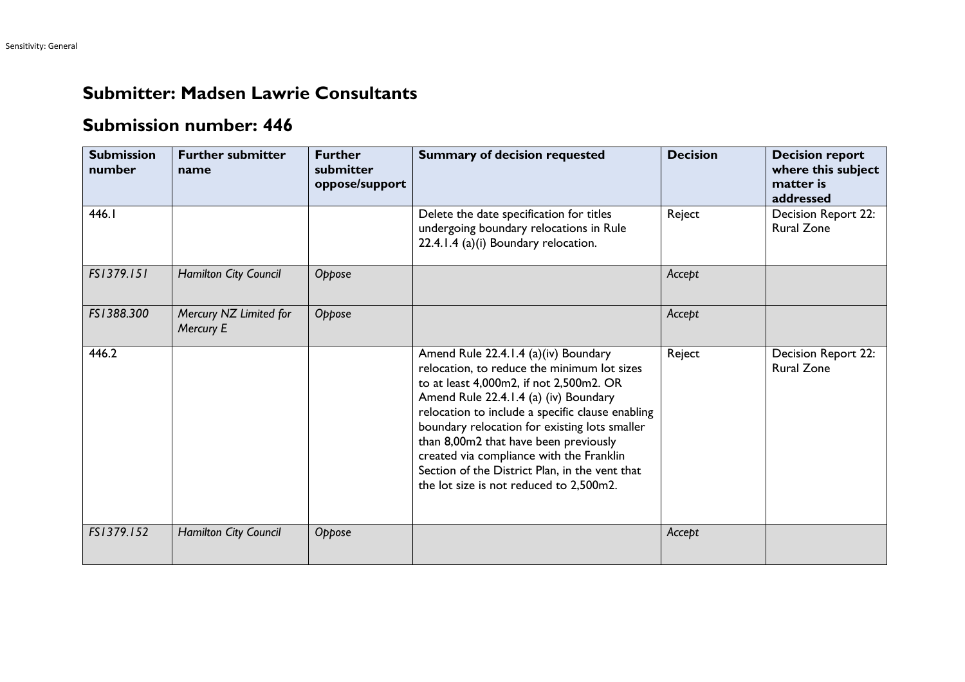## **Submitter: Madsen Lawrie Consultants**

## **Submission number: 446**

| <b>Submission</b><br>number | <b>Further submitter</b><br>name    | <b>Further</b><br>submitter<br>oppose/support | <b>Summary of decision requested</b>                                                                                                                                                                                                                                                                                                                                                                                                                           | <b>Decision</b> | <b>Decision report</b><br>where this subject<br>matter is<br>addressed |
|-----------------------------|-------------------------------------|-----------------------------------------------|----------------------------------------------------------------------------------------------------------------------------------------------------------------------------------------------------------------------------------------------------------------------------------------------------------------------------------------------------------------------------------------------------------------------------------------------------------------|-----------------|------------------------------------------------------------------------|
| 446.I                       |                                     |                                               | Delete the date specification for titles<br>undergoing boundary relocations in Rule<br>22.4.1.4 (a)(i) Boundary relocation.                                                                                                                                                                                                                                                                                                                                    | Reject          | Decision Report 22:<br><b>Rural Zone</b>                               |
| FS1379.151                  | Hamilton City Council               | Oppose                                        |                                                                                                                                                                                                                                                                                                                                                                                                                                                                | Accept          |                                                                        |
| FS1388.300                  | Mercury NZ Limited for<br>Mercury E | Oppose                                        |                                                                                                                                                                                                                                                                                                                                                                                                                                                                | Accept          |                                                                        |
| 446.2                       |                                     |                                               | Amend Rule 22.4.1.4 (a)(iv) Boundary<br>relocation, to reduce the minimum lot sizes<br>to at least 4,000m2, if not 2,500m2. OR<br>Amend Rule 22.4.1.4 (a) (iv) Boundary<br>relocation to include a specific clause enabling<br>boundary relocation for existing lots smaller<br>than 8,00m2 that have been previously<br>created via compliance with the Franklin<br>Section of the District Plan, in the vent that<br>the lot size is not reduced to 2,500m2. | Reject          | Decision Report 22:<br><b>Rural Zone</b>                               |
| FS1379.152                  | Hamilton City Council               | Oppose                                        |                                                                                                                                                                                                                                                                                                                                                                                                                                                                | Accept          |                                                                        |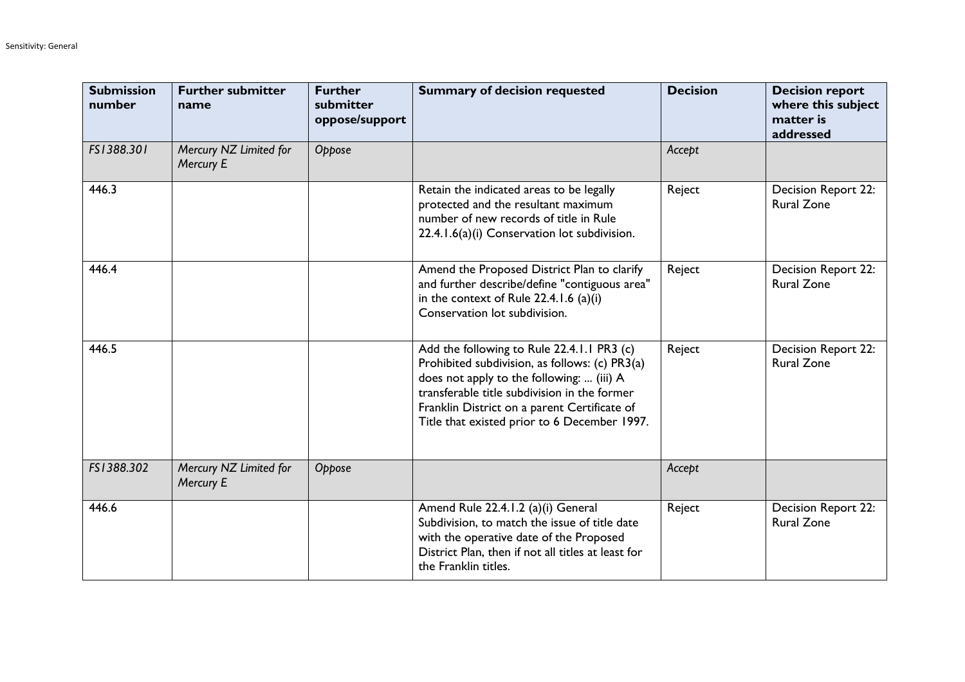| <b>Submission</b><br>number | <b>Further submitter</b><br>name    | <b>Further</b><br>submitter<br>oppose/support | <b>Summary of decision requested</b>                                                                                                                                                                                                                                                      | <b>Decision</b> | <b>Decision report</b><br>where this subject<br>matter is<br>addressed |
|-----------------------------|-------------------------------------|-----------------------------------------------|-------------------------------------------------------------------------------------------------------------------------------------------------------------------------------------------------------------------------------------------------------------------------------------------|-----------------|------------------------------------------------------------------------|
| FS1388.301                  | Mercury NZ Limited for<br>Mercury E | Oppose                                        |                                                                                                                                                                                                                                                                                           | Accept          |                                                                        |
| 446.3                       |                                     |                                               | Retain the indicated areas to be legally<br>protected and the resultant maximum<br>number of new records of title in Rule<br>22.4.1.6(a)(i) Conservation lot subdivision.                                                                                                                 | Reject          | Decision Report 22:<br><b>Rural Zone</b>                               |
| 446.4                       |                                     |                                               | Amend the Proposed District Plan to clarify<br>and further describe/define "contiguous area"<br>in the context of Rule 22.4.1.6 (a)(i)<br>Conservation lot subdivision.                                                                                                                   | Reject          | Decision Report 22:<br><b>Rural Zone</b>                               |
| 446.5                       |                                     |                                               | Add the following to Rule 22.4.1.1 PR3 (c)<br>Prohibited subdivision, as follows: (c) PR3(a)<br>does not apply to the following:  (iii) A<br>transferable title subdivision in the former<br>Franklin District on a parent Certificate of<br>Title that existed prior to 6 December 1997. | Reject          | <b>Decision Report 22:</b><br><b>Rural Zone</b>                        |
| FS1388.302                  | Mercury NZ Limited for<br>Mercury E | Oppose                                        |                                                                                                                                                                                                                                                                                           | Accept          |                                                                        |
| 446.6                       |                                     |                                               | Amend Rule 22.4.1.2 (a)(i) General<br>Subdivision, to match the issue of title date<br>with the operative date of the Proposed<br>District Plan, then if not all titles at least for<br>the Franklin titles.                                                                              | Reject          | <b>Decision Report 22:</b><br><b>Rural Zone</b>                        |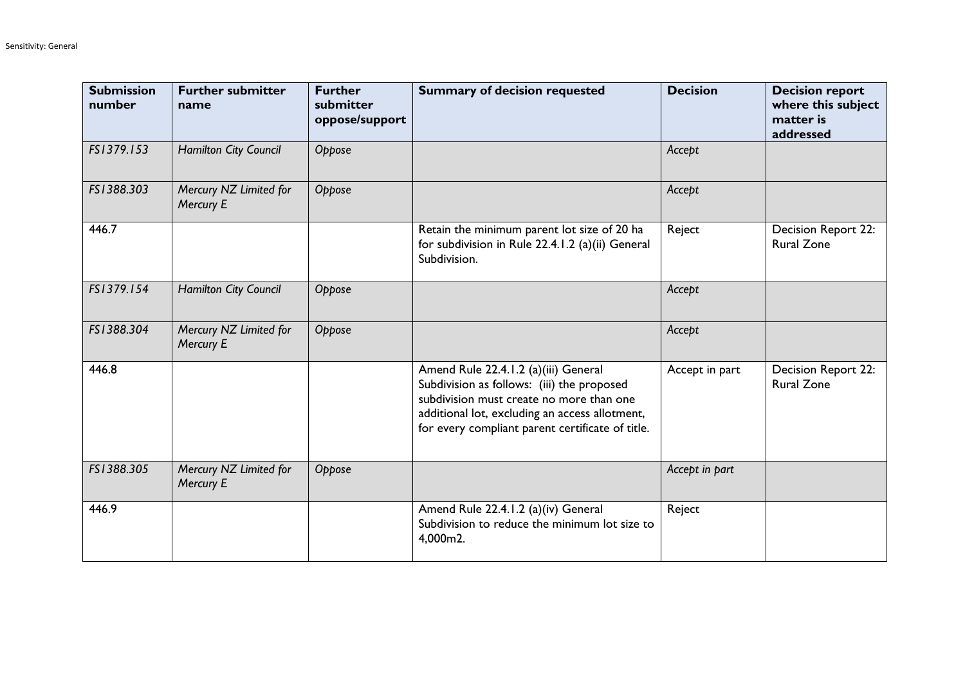| <b>Submission</b><br>number | <b>Further submitter</b><br>name    | <b>Further</b><br>submitter<br>oppose/support | <b>Summary of decision requested</b>                                                                                                                                                                                                 | <b>Decision</b> | <b>Decision report</b><br>where this subject<br>matter is<br>addressed |
|-----------------------------|-------------------------------------|-----------------------------------------------|--------------------------------------------------------------------------------------------------------------------------------------------------------------------------------------------------------------------------------------|-----------------|------------------------------------------------------------------------|
| FS1379.153                  | Hamilton City Council               | Oppose                                        |                                                                                                                                                                                                                                      | Accept          |                                                                        |
| FS1388.303                  | Mercury NZ Limited for<br>Mercury E | Oppose                                        |                                                                                                                                                                                                                                      | Accept          |                                                                        |
| 446.7                       |                                     |                                               | Retain the minimum parent lot size of 20 ha<br>for subdivision in Rule 22.4.1.2 (a)(ii) General<br>Subdivision.                                                                                                                      | Reject          | Decision Report 22:<br><b>Rural Zone</b>                               |
| FS1379.154                  | Hamilton City Council               | Oppose                                        |                                                                                                                                                                                                                                      | Accept          |                                                                        |
| FS1388.304                  | Mercury NZ Limited for<br>Mercury E | Oppose                                        |                                                                                                                                                                                                                                      | Accept          |                                                                        |
| 446.8                       |                                     |                                               | Amend Rule 22.4.1.2 (a)(iii) General<br>Subdivision as follows: (iii) the proposed<br>subdivision must create no more than one<br>additional lot, excluding an access allotment,<br>for every compliant parent certificate of title. | Accept in part  | Decision Report 22:<br><b>Rural Zone</b>                               |
| FS1388.305                  | Mercury NZ Limited for<br>Mercury E | Oppose                                        |                                                                                                                                                                                                                                      | Accept in part  |                                                                        |
| 446.9                       |                                     |                                               | Amend Rule 22.4.1.2 (a)(iv) General<br>Subdivision to reduce the minimum lot size to<br>4,000m2.                                                                                                                                     | Reject          |                                                                        |